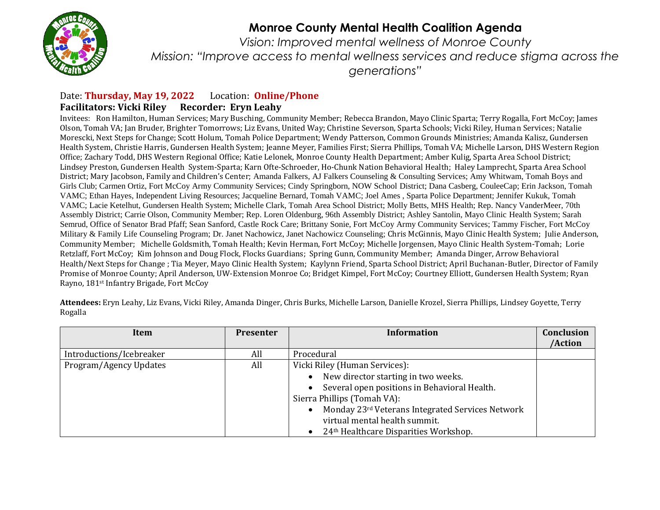

## **Monroe County Mental Health Coalition Agenda**

*Vision: Improved mental wellness of Monroe County Mission: "Improve access to mental wellness services and reduce stigma across the generations"*

## Date: **Thursday, May 19, 2022** Location: **Online/Phone Facilitators: Vicki Riley Recorder: Eryn Leahy**

Invitees: Ron Hamilton, Human Services; Mary Busching, Community Member; Rebecca Brandon, Mayo Clinic Sparta; Terry Rogalla, Fort McCoy; James Olson, Tomah VA; Jan Bruder, Brighter Tomorrows; Liz Evans, United Way; Christine Severson, Sparta Schools; Vicki Riley, Human Services; Natalie Morescki, Next Steps for Change; Scott Holum, Tomah Police Department; Wendy Patterson, Common Grounds Ministries; Amanda Kalisz, Gundersen Health System, Christie Harris, Gundersen Health System; Jeanne Meyer, Families First; Sierra Phillips, Tomah VA; Michelle Larson, DHS Western Region Office; Zachary Todd, DHS Western Regional Office; Katie Lelonek, Monroe County Health Department; Amber Kulig, Sparta Area School District; Lindsey Preston, Gundersen Health System-Sparta; Karn Ofte-Schroeder, Ho-Chunk Nation Behavioral Health; Haley Lamprecht, Sparta Area School District; Mary Jacobson, Family and Children's Center; Amanda Falkers, AJ Falkers Counseling & Consulting Services; Amy Whitwam, Tomah Boys and Girls Club; Carmen Ortiz, Fort McCoy Army Community Services; Cindy Springborn, NOW School District; Dana Casberg, CouleeCap; Erin Jackson, Tomah VAMC; Ethan Hayes, Independent Living Resources; Jacqueline Bernard, Tomah VAMC; Joel Ames , Sparta Police Department; Jennifer Kukuk, Tomah VAMC; Lacie Ketelhut, Gundersen Health System; Michelle Clark, Tomah Area School District; Molly Betts, MHS Health; Rep. Nancy VanderMeer, 70th Assembly District; Carrie Olson, Community Member; Rep. Loren Oldenburg, 96th Assembly District; Ashley Santolin, Mayo Clinic Health System; Sarah Semrud, Office of Senator Brad Pfaff; Sean Sanford, Castle Rock Care; Brittany Sonie, Fort McCoy Army Community Services; Tammy Fischer, Fort McCoy Military & Family Life Counseling Program; Dr. Janet Nachowicz, Janet Nachowicz Counseling; Chris McGinnis, Mayo Clinic Health System; Julie Anderson, Community Member; Michelle Goldsmith, Tomah Health; Kevin Herman, Fort McCoy; Michelle Jorgensen, Mayo Clinic Health System-Tomah; Lorie Retzlaff, Fort McCoy; Kim Johnson and Doug Flock, Flocks Guardians; Spring Gunn, Community Member; Amanda Dinger, Arrow Behavioral Health/Next Steps for Change ; Tia Meyer, Mayo Clinic Health System; Kaylynn Friend, Sparta School District; April Buchanan-Butler, Director of Family Promise of Monroe County; April Anderson, UW-Extension Monroe Co; Bridget Kimpel, Fort McCoy; Courtney Elliott, Gundersen Health System; Ryan Rayno, 181st Infantry Brigade, Fort McCoy

**Item Presenter Information Conclusion /Action** Introductions/Icebreaker All All Procedural Program/Agency Updates **All Program/Agency Updates** All Vicki Riley (Human Services): • New director starting in two weeks. Several open positions in Behavioral Health.

**Attendees:** Eryn Leahy, Liz Evans, Vicki Riley, Amanda Dinger, Chris Burks, Michelle Larson, Danielle Krozel, Sierra Phillips, Lindsey Goyette, Terry Rogalla

|                          |     |                                                   | /Action |
|--------------------------|-----|---------------------------------------------------|---------|
| Introductions/Icebreaker | All | Procedural                                        |         |
| Program/Agency Updates   | All | Vicki Riley (Human Services):                     |         |
|                          |     | New director starting in two weeks.               |         |
|                          |     | Several open positions in Behavioral Health.      |         |
|                          |     | Sierra Phillips (Tomah VA):                       |         |
|                          |     | Monday 23rd Veterans Integrated Services Network  |         |
|                          |     | virtual mental health summit.                     |         |
|                          |     | 24 <sup>th</sup> Healthcare Disparities Workshop. |         |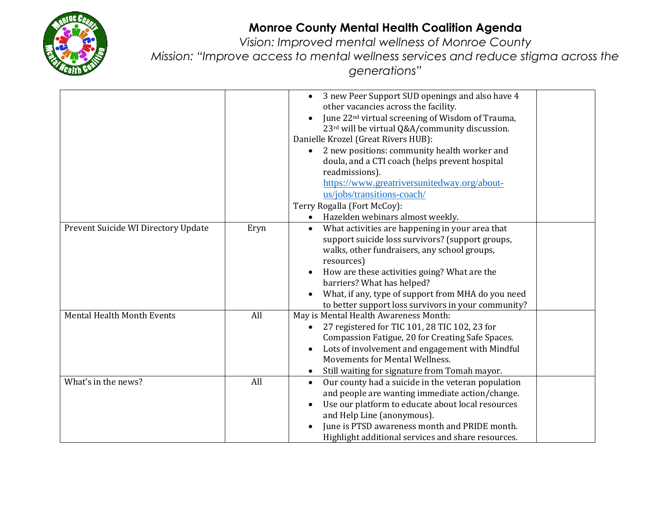

## **Monroe County Mental Health Coalition Agenda**

*Vision: Improved mental wellness of Monroe County*

*Mission: "Improve access to mental wellness services and reduce stigma across the* 

*generations"*

|                                     |      | 3 new Peer Support SUD openings and also have 4<br>other vacancies across the facility.<br>June 22 <sup>nd</sup> virtual screening of Wisdom of Trauma,<br>23rd will be virtual Q&A/community discussion.<br>Danielle Krozel (Great Rivers HUB):<br>2 new positions: community health worker and<br>doula, and a CTI coach (helps prevent hospital<br>readmissions).<br>https://www.greatriversunitedway.org/about-<br>us/jobs/transitions-coach/<br>Terry Rogalla (Fort McCoy):<br>Hazelden webinars almost weekly.<br>$\bullet$ |
|-------------------------------------|------|-----------------------------------------------------------------------------------------------------------------------------------------------------------------------------------------------------------------------------------------------------------------------------------------------------------------------------------------------------------------------------------------------------------------------------------------------------------------------------------------------------------------------------------|
| Prevent Suicide WI Directory Update | Eryn | What activities are happening in your area that<br>support suicide loss survivors? (support groups,<br>walks, other fundraisers, any school groups,<br>resources)<br>How are these activities going? What are the<br>barriers? What has helped?<br>What, if any, type of support from MHA do you need<br>to better support loss survivors in your community?                                                                                                                                                                      |
| <b>Mental Health Month Events</b>   | All  | May is Mental Health Awareness Month:<br>27 registered for TIC 101, 28 TIC 102, 23 for<br>Compassion Fatigue, 20 for Creating Safe Spaces.<br>Lots of involvement and engagement with Mindful<br>Movements for Mental Wellness.<br>Still waiting for signature from Tomah mayor.                                                                                                                                                                                                                                                  |
| What's in the news?                 | All  | Our county had a suicide in the veteran population<br>$\bullet$<br>and people are wanting immediate action/change.<br>Use our platform to educate about local resources<br>and Help Line (anonymous).<br>June is PTSD awareness month and PRIDE month.<br>Highlight additional services and share resources.                                                                                                                                                                                                                      |